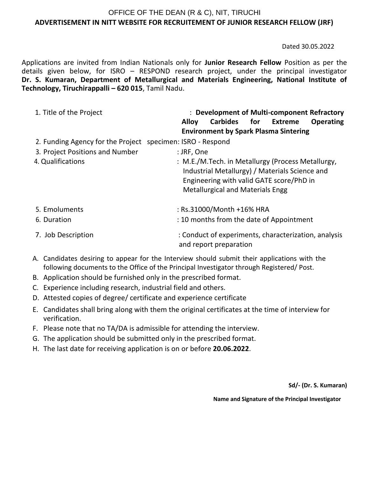## OFFICE OF THE DEAN (R & C), NIT, TIRUCHI **ADVERTISEMENT IN NITT WEBSITE FOR RECRUITEMENT OF JUNIOR RESEARCH FELLOW (JRF)**

Dated 30.05.2022

Applications are invited from Indian Nationals only for **Junior Research Fellow** Position as per the details given below, for ISRO – RESPOND research project, under the principal investigator **Dr. S. Kumaran, Department of Metallurgical and Materials Engineering, National Institute of Technology, Tiruchirappalli – 620 015**, Tamil Nadu.

| 1. Title of the Project                                    | : Development of Multi-component Refractory<br>Carbides for Extreme<br><b>Alloy</b><br><b>Operating</b><br><b>Environment by Spark Plasma Sintering</b>                                    |
|------------------------------------------------------------|--------------------------------------------------------------------------------------------------------------------------------------------------------------------------------------------|
| 2. Funding Agency for the Project specimen: ISRO - Respond |                                                                                                                                                                                            |
| 3. Project Positions and Number                            | : JRF, One                                                                                                                                                                                 |
| 4. Qualifications                                          | : M.E./M.Tech. in Metallurgy (Process Metallurgy,<br>Industrial Metallurgy) / Materials Science and<br>Engineering with valid GATE score/PhD in<br><b>Metallurgical and Materials Engg</b> |
| 5. Emoluments                                              | : Rs.31000/Month +16% HRA                                                                                                                                                                  |
| 6. Duration                                                | : 10 months from the date of Appointment                                                                                                                                                   |
| 7. Job Description                                         | : Conduct of experiments, characterization, analysis<br>and report preparation                                                                                                             |

- A. Candidates desiring to appear for the Interview should submit their applications with the following documents to the Office of the Principal Investigator through Registered/ Post.
- B. Application should be furnished only in the prescribed format.
- C. Experience including research, industrial field and others.
- D. Attested copies of degree/ certificate and experience certificate
- E. Candidates shall bring along with them the original certificates at the time of interview for verification.
- F. Please note that no TA/DA is admissible for attending the interview.
- G. The application should be submitted only in the prescribed format.
- H. The last date for receiving application is on or before **20.06.2022**.

**Sd/- (Dr. S. Kumaran)**

**Name and Signature of the Principal Investigator**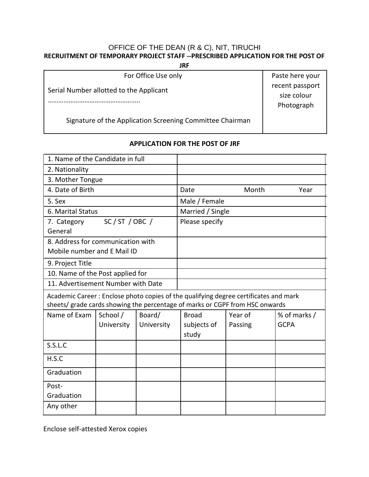# OFFICE OF THE DEAN (R & C), NIT, TIRUCHI **RECRUITMENT OF TEMPORARY PROJECT STAFF --PRESCRIBED APPLICATION FOR THE POST OF**

**JRF**

size colour

For Office Use only **Paste here your** 

Serial Number allotted to the Applicant **recent** passport recent passport

…………………………………………….. Photograph

Signature of the Application Screening Committee Chairman

# **APPLICATION FOR THE POST OF JRF**

| 1. Name of the Candidate in full                                                                                                                                     |            |                  |                      |         |              |
|----------------------------------------------------------------------------------------------------------------------------------------------------------------------|------------|------------------|----------------------|---------|--------------|
| 2. Nationality                                                                                                                                                       |            |                  |                      |         |              |
| 3. Mother Tongue                                                                                                                                                     |            |                  |                      |         |              |
| 4. Date of Birth                                                                                                                                                     |            | Date             | Month                | Year    |              |
| 5. Sex                                                                                                                                                               |            | Male / Female    |                      |         |              |
| 6. Marital Status                                                                                                                                                    |            | Married / Single |                      |         |              |
| SC/ST/OBC/<br>7. Category<br>General                                                                                                                                 |            | Please specify   |                      |         |              |
| 8. Address for communication with<br>Mobile number and E Mail ID                                                                                                     |            |                  |                      |         |              |
| 9. Project Title                                                                                                                                                     |            |                  |                      |         |              |
| 10. Name of the Post applied for                                                                                                                                     |            |                  |                      |         |              |
| 11. Advertisement Number with Date                                                                                                                                   |            |                  |                      |         |              |
| Academic Career: Enclose photo copies of the qualifying degree certificates and mark<br>sheets/ grade cards showing the percentage of marks or CGPF from HSC onwards |            |                  |                      |         |              |
| Name of Exam                                                                                                                                                         | School /   | Board/           | <b>Broad</b>         | Year of | % of marks / |
|                                                                                                                                                                      | University | University       | subjects of<br>study | Passing | <b>GCPA</b>  |
| S.S.L.C                                                                                                                                                              |            |                  |                      |         |              |
| H.S.C                                                                                                                                                                |            |                  |                      |         |              |
| Graduation                                                                                                                                                           |            |                  |                      |         |              |
| Post-                                                                                                                                                                |            |                  |                      |         |              |
| Graduation                                                                                                                                                           |            |                  |                      |         |              |
| Any other                                                                                                                                                            |            |                  |                      |         |              |

Enclose self-attested Xerox copies